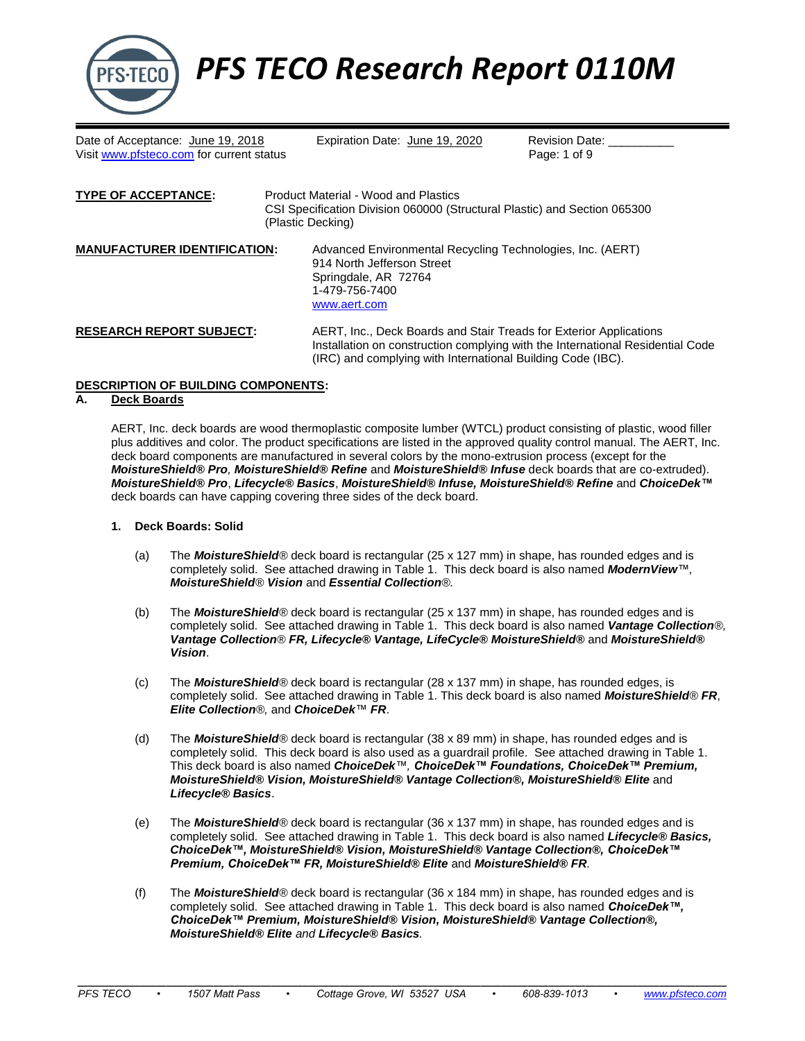

*PFS TECO Research Report 0110M*

Date of Acceptance: <u>June 19, 2018</u> Expiration Date: <u>June 19, 2020</u> Revision Date: \_<br>Visit www.pfsteco.com for current status **Expiration Date:** 1 of 9 Visit [www.pfsteco.com](http://www.pfsteco.com/) for current status

| <b>TYPE OF ACCEPTANCE:</b>          | Product Material - Wood and Plastics<br>CSI Specification Division 060000 (Structural Plastic) and Section 065300<br>(Plastic Decking)               |  |  |  |  |
|-------------------------------------|------------------------------------------------------------------------------------------------------------------------------------------------------|--|--|--|--|
| <b>MANUFACTURER IDENTIFICATION:</b> | Advanced Environmental Recycling Technologies, Inc. (AERT)<br>914 North Jefferson Street<br>Springdale, AR 72764<br>1-479-756-7400<br>www.aert.com   |  |  |  |  |
| <b>RESEARCH REPORT SUBJECT:</b>     | AERT, Inc., Deck Boards and Stair Treads for Exterior Applications<br>Installation on construction complying with the International Residential Code |  |  |  |  |

## **DESCRIPTION OF BUILDING COMPONENTS:**

## **A. Deck Boards**

AERT, Inc. deck boards are wood thermoplastic composite lumber (WTCL) product consisting of plastic, wood filler plus additives and color. The product specifications are listed in the approved quality control manual. The AERT, Inc. deck board components are manufactured in several colors by the mono-extrusion process (except for the *MoistureShield® Pro, MoistureShield® Refine* and *MoistureShield® Infuse* deck boards that are co-extruded). *MoistureShield® Pro*, *Lifecycle® Basics*, *MoistureShield® Infuse, MoistureShield® Refine* and *ChoiceDek™* deck boards can have capping covering three sides of the deck board.

(IRC) and complying with International Building Code (IBC).

- **1. Deck Boards: Solid**
	- (a) The *MoistureShield®* deck board is rectangular (25 x 127 mm) in shape, has rounded edges and is completely solid. See attached drawing in Table 1. This deck board is also named *ModernView™, MoistureShield® Vision* and *Essential Collection®.*
	- (b) The *MoistureShield®* deck board is rectangular (25 x 137 mm) in shape, has rounded edges and is completely solid. See attached drawing in Table 1. This deck board is also named *Vantage Collection®, Vantage Collection® FR, Lifecycle® Vantage, LifeCycle® MoistureShield®* and *MoistureShield® Vision*.
	- (c) The *MoistureShield®* deck board is rectangular (28 x 137 mm) in shape, has rounded edges, is completely solid. See attached drawing in Table 1. This deck board is also named *MoistureShield® FR*, *Elite Collection®,* and *ChoiceDek™ FR*.
	- (d) The *MoistureShield®* deck board is rectangular (38 x 89 mm) in shape, has rounded edges and is completely solid. This deck board is also used as a guardrail profile. See attached drawing in Table 1. This deck board is also named *ChoiceDek™, ChoiceDek™ Foundations, ChoiceDek™ Premium, MoistureShield® Vision, MoistureShield® Vantage Collection®, MoistureShield® Elite* and *Lifecycle® Basics*.
	- (e) The *MoistureShield®* deck board is rectangular (36 x 137 mm) in shape, has rounded edges and is completely solid. See attached drawing in Table 1. This deck board is also named *Lifecycle® Basics, ChoiceDek™, MoistureShield® Vision, MoistureShield® Vantage Collection®, ChoiceDek™ Premium, ChoiceDek™ FR, MoistureShield® Elite* and *MoistureShield® FR.*
	- (f) The *MoistureShield®* deck board is rectangular (36 x 184 mm) in shape, has rounded edges and is completely solid. See attached drawing in Table 1. This deck board is also named *ChoiceDek™, ChoiceDek™ Premium, MoistureShield® Vision, MoistureShield® Vantage Collection®, MoistureShield® Elite and Lifecycle® Basics.*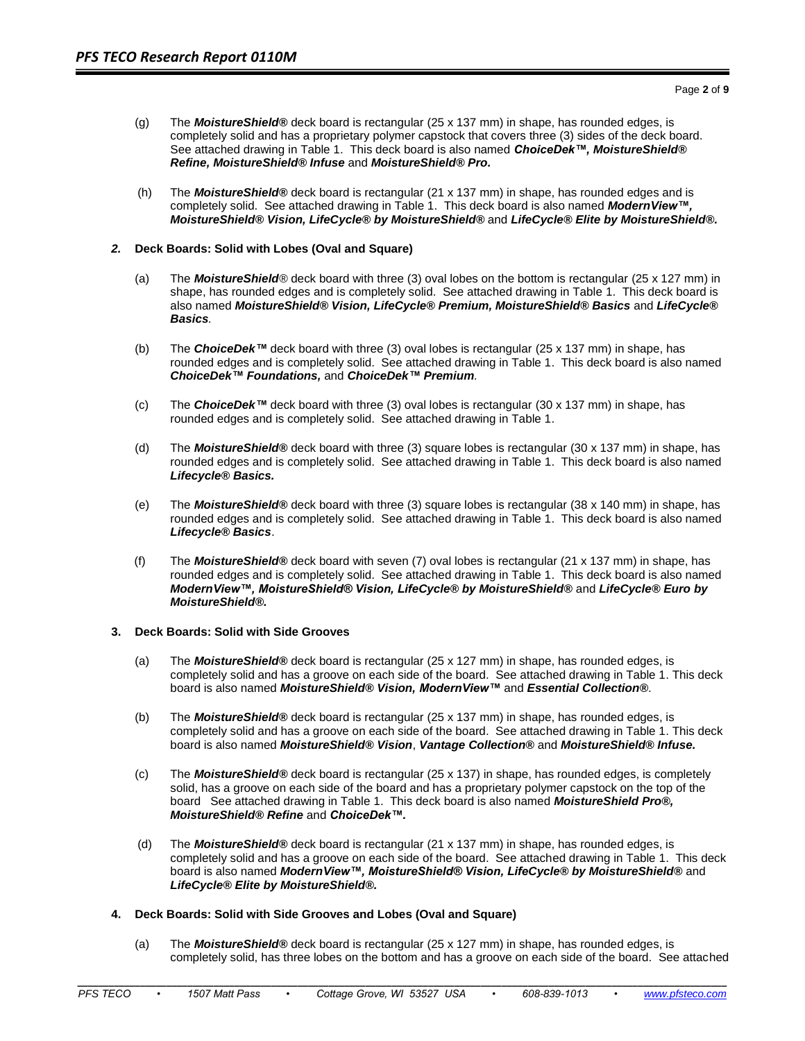- (g) The *MoistureShield®* deck board is rectangular (25 x 137 mm) in shape, has rounded edges, is completely solid and has a proprietary polymer capstock that covers three (3) sides of the deck board. See attached drawing in Table 1. This deck board is also named *ChoiceDek™, MoistureShield® Refine, MoistureShield® Infuse* and *MoistureShield® Pro.*
- (h) The *MoistureShield®* deck board is rectangular (21 x 137 mm) in shape, has rounded edges and is completely solid. See attached drawing in Table 1. This deck board is also named *ModernView™, MoistureShield® Vision, LifeCycle® by MoistureShield®* and *LifeCycle® Elite by MoistureShield®.*

#### *2.* **Deck Boards: Solid with Lobes (Oval and Square)**

- (a) The *MoistureShield®* deck board with three (3) oval lobes on the bottom is rectangular (25 x 127 mm) in shape, has rounded edges and is completely solid. See attached drawing in Table 1. This deck board is also named *MoistureShield® Vision, LifeCycle® Premium, MoistureShield® Basics* and *LifeCycle® Basics.*
- (b) The *ChoiceDek™* deck board with three (3) oval lobes is rectangular (25 x 137 mm) in shape, has rounded edges and is completely solid. See attached drawing in Table 1. This deck board is also named *ChoiceDek™ Foundations,* and *ChoiceDek™ Premium.*
- (c) The *ChoiceDek™* deck board with three (3) oval lobes is rectangular (30 x 137 mm) in shape, has rounded edges and is completely solid. See attached drawing in Table 1.
- (d) The *MoistureShield®* deck board with three (3) square lobes is rectangular (30 x 137 mm) in shape, has rounded edges and is completely solid. See attached drawing in Table 1. This deck board is also named *Lifecycle® Basics.*
- (e) The *MoistureShield®* deck board with three (3) square lobes is rectangular (38 x 140 mm) in shape, has rounded edges and is completely solid. See attached drawing in Table 1. This deck board is also named *Lifecycle® Basics*.
- (f) The *MoistureShield®* deck board with seven (7) oval lobes is rectangular (21 x 137 mm) in shape, has rounded edges and is completely solid. See attached drawing in Table 1. This deck board is also named *ModernView™, MoistureShield® Vision, LifeCycle® by MoistureShield®* and *LifeCycle® Euro by MoistureShield®.*

#### **3. Deck Boards: Solid with Side Grooves**

- (a) The *MoistureShield®* deck board is rectangular (25 x 127 mm) in shape, has rounded edges, is completely solid and has a groove on each side of the board. See attached drawing in Table 1. This deck board is also named *MoistureShield® Vision, ModernView™* and *Essential Collection®*.
- (b) The *MoistureShield®* deck board is rectangular (25 x 137 mm) in shape, has rounded edges, is completely solid and has a groove on each side of the board. See attached drawing in Table 1. This deck board is also named *MoistureShield® Vision*, *Vantage Collection®* and *MoistureShield® Infuse.*
- (c) The *MoistureShield®* deck board is rectangular (25 x 137) in shape, has rounded edges, is completely solid, has a groove on each side of the board and has a proprietary polymer capstock on the top of the board See attached drawing in Table 1. This deck board is also named *MoistureShield Pro®, MoistureShield® Refine* and *ChoiceDek™.*
- (d) The *MoistureShield®* deck board is rectangular (21 x 137 mm) in shape, has rounded edges, is completely solid and has a groove on each side of the board. See attached drawing in Table 1. This deck board is also named *ModernView™, MoistureShield® Vision, LifeCycle® by MoistureShield®* and *LifeCycle® Elite by MoistureShield®.*

## **4. Deck Boards: Solid with Side Grooves and Lobes (Oval and Square)**

(a) The *MoistureShield®* deck board is rectangular (25 x 127 mm) in shape, has rounded edges, is completely solid, has three lobes on the bottom and has a groove on each side of the board. See attached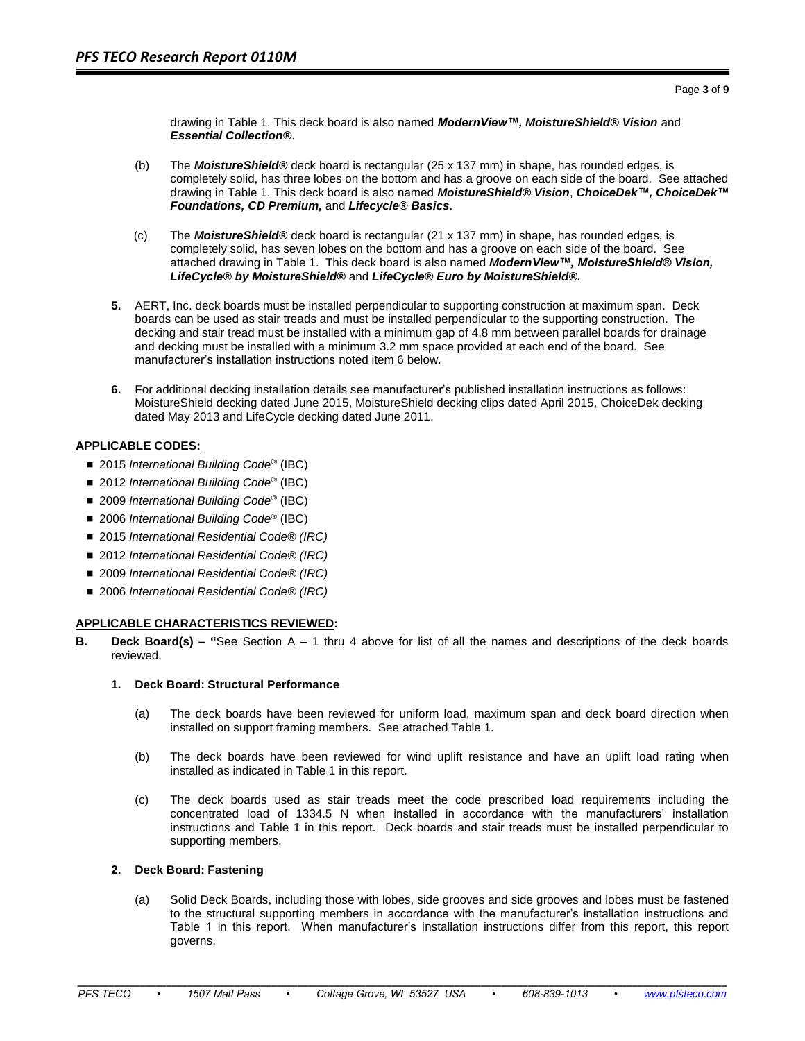drawing in Table 1. This deck board is also named *ModernView™, MoistureShield® Vision* and *Essential Collection®*.

- (b) The *MoistureShield®* deck board is rectangular (25 x 137 mm) in shape, has rounded edges, is completely solid, has three lobes on the bottom and has a groove on each side of the board. See attached drawing in Table 1. This deck board is also named *MoistureShield® Vision*, *ChoiceDek™, ChoiceDek™ Foundations, CD Premium,* and *Lifecycle® Basics*.
- (c) The *MoistureShield®* deck board is rectangular (21 x 137 mm) in shape, has rounded edges, is completely solid, has seven lobes on the bottom and has a groove on each side of the board. See attached drawing in Table 1. This deck board is also named *ModernView™, MoistureShield® Vision, LifeCycle® by MoistureShield®* and *LifeCycle® Euro by MoistureShield®.*
- **5.** AERT, Inc. deck boards must be installed perpendicular to supporting construction at maximum span. Deck boards can be used as stair treads and must be installed perpendicular to the supporting construction. The decking and stair tread must be installed with a minimum gap of 4.8 mm between parallel boards for drainage and decking must be installed with a minimum 3.2 mm space provided at each end of the board. See manufacturer's installation instructions noted item 6 below.
- **6.** For additional decking installation details see manufacturer's published installation instructions as follows: MoistureShield decking dated June 2015, MoistureShield decking clips dated April 2015, ChoiceDek decking dated May 2013 and LifeCycle decking dated June 2011.

## **APPLICABLE CODES:**

- 2015 *International Building Code<sup>®</sup>* (IBC)
- 2012 *International Building Code<sup>®</sup>* (IBC)
- 2009 *International Building Code<sup>®</sup>* (IBC)
- 2006 *International Building Code<sup>®</sup>* (IBC)
- 2015 *International Residential Code<sup>®</sup> (IRC)*
- 2012 *International Residential Code<sup>®</sup> (IRC)*
- 2009 *International Residential Code<sup>®</sup> (IRC)*
- 2006 *International Residential Code<sup>®</sup> (IRC)*

## **APPLICABLE CHARACTERISTICS REVIEWED:**

**B. Deck Board(s) – "**See Section A – 1 thru 4 above for list of all the names and descriptions of the deck boards reviewed.

## **1. Deck Board: Structural Performance**

- (a) The deck boards have been reviewed for uniform load, maximum span and deck board direction when installed on support framing members. See attached Table 1.
- (b) The deck boards have been reviewed for wind uplift resistance and have an uplift load rating when installed as indicated in Table 1 in this report.
- (c) The deck boards used as stair treads meet the code prescribed load requirements including the concentrated load of 1334.5 N when installed in accordance with the manufacturers' installation instructions and Table 1 in this report. Deck boards and stair treads must be installed perpendicular to supporting members.

## **2. Deck Board: Fastening**

(a) Solid Deck Boards, including those with lobes, side grooves and side grooves and lobes must be fastened to the structural supporting members in accordance with the manufacturer's installation instructions and Table 1 in this report. When manufacturer's installation instructions differ from this report, this report governs.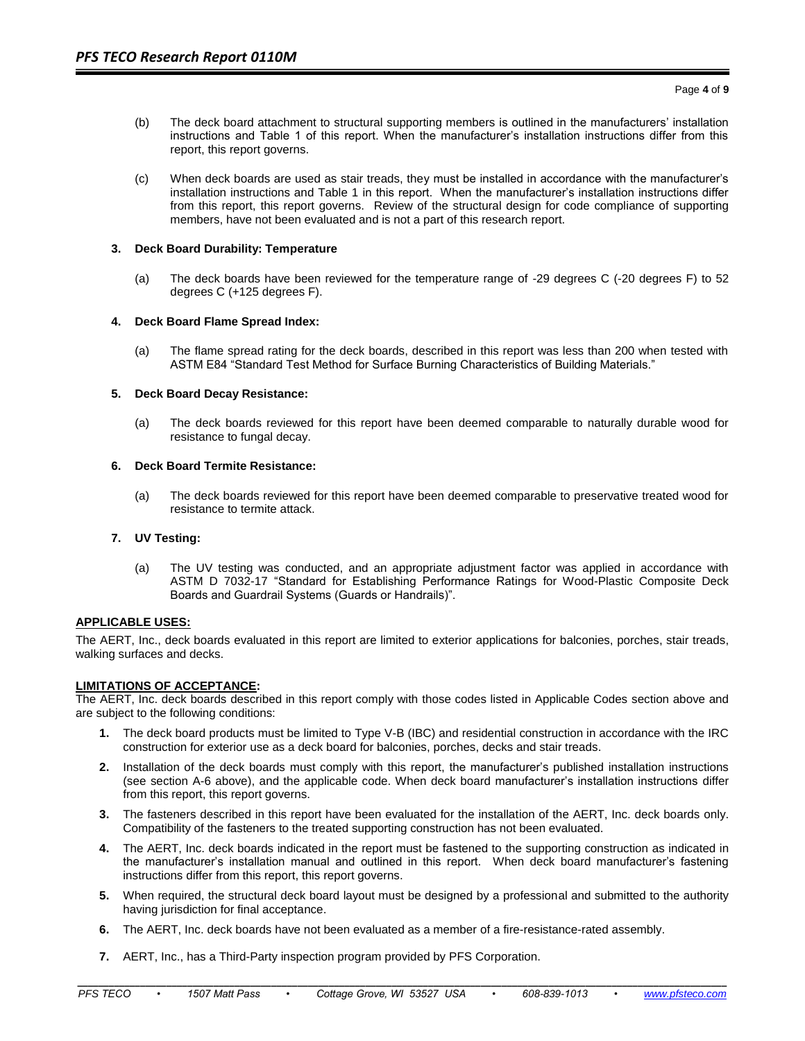- (b) The deck board attachment to structural supporting members is outlined in the manufacturers' installation instructions and Table 1 of this report. When the manufacturer's installation instructions differ from this report, this report governs.
- (c) When deck boards are used as stair treads, they must be installed in accordance with the manufacturer's installation instructions and Table 1 in this report. When the manufacturer's installation instructions differ from this report, this report governs. Review of the structural design for code compliance of supporting members, have not been evaluated and is not a part of this research report.

#### **3. Deck Board Durability: Temperature**

(a) The deck boards have been reviewed for the temperature range of -29 degrees C (-20 degrees F) to 52 degrees C (+125 degrees F).

#### **4. Deck Board Flame Spread Index:**

(a) The flame spread rating for the deck boards, described in this report was less than 200 when tested with ASTM E84 "Standard Test Method for Surface Burning Characteristics of Building Materials."

#### **5. Deck Board Decay Resistance:**

(a) The deck boards reviewed for this report have been deemed comparable to naturally durable wood for resistance to fungal decay.

#### **6. Deck Board Termite Resistance:**

(a) The deck boards reviewed for this report have been deemed comparable to preservative treated wood for resistance to termite attack.

## **7. UV Testing:**

(a) The UV testing was conducted, and an appropriate adjustment factor was applied in accordance with ASTM D 7032-17 "Standard for Establishing Performance Ratings for Wood-Plastic Composite Deck Boards and Guardrail Systems (Guards or Handrails)".

## **APPLICABLE USES:**

The AERT, Inc., deck boards evaluated in this report are limited to exterior applications for balconies, porches, stair treads, walking surfaces and decks.

#### **LIMITATIONS OF ACCEPTANCE:**

The AERT, Inc. deck boards described in this report comply with those codes listed in Applicable Codes section above and are subject to the following conditions:

- **1.** The deck board products must be limited to Type V-B (IBC) and residential construction in accordance with the IRC construction for exterior use as a deck board for balconies, porches, decks and stair treads.
- **2.** Installation of the deck boards must comply with this report, the manufacturer's published installation instructions (see section A-6 above), and the applicable code. When deck board manufacturer's installation instructions differ from this report, this report governs.
- **3.** The fasteners described in this report have been evaluated for the installation of the AERT, Inc. deck boards only. Compatibility of the fasteners to the treated supporting construction has not been evaluated.
- **4.** The AERT, Inc. deck boards indicated in the report must be fastened to the supporting construction as indicated in the manufacturer's installation manual and outlined in this report. When deck board manufacturer's fastening instructions differ from this report, this report governs.
- **5.** When required, the structural deck board layout must be designed by a professional and submitted to the authority having jurisdiction for final acceptance.
- **6.** The AERT, Inc. deck boards have not been evaluated as a member of a fire-resistance-rated assembly.

**\_\_\_\_\_\_\_\_\_\_\_\_\_\_\_\_\_\_\_\_\_\_\_\_\_\_\_\_\_\_\_\_\_\_\_\_\_\_\_\_\_\_\_\_\_\_\_\_\_\_\_\_\_\_\_\_\_\_\_\_\_\_\_\_\_\_\_\_\_\_\_\_\_\_\_\_\_\_\_\_\_\_\_\_\_\_\_\_\_\_\_\_\_\_\_\_\_\_\_\_\_\_\_\_\_\_\_\_\_\_\_\_\_\_\_\_\_\_\_\_\_\_\_\_**

**7.** AERT, Inc., has a Third-Party inspection program provided by PFS Corporation.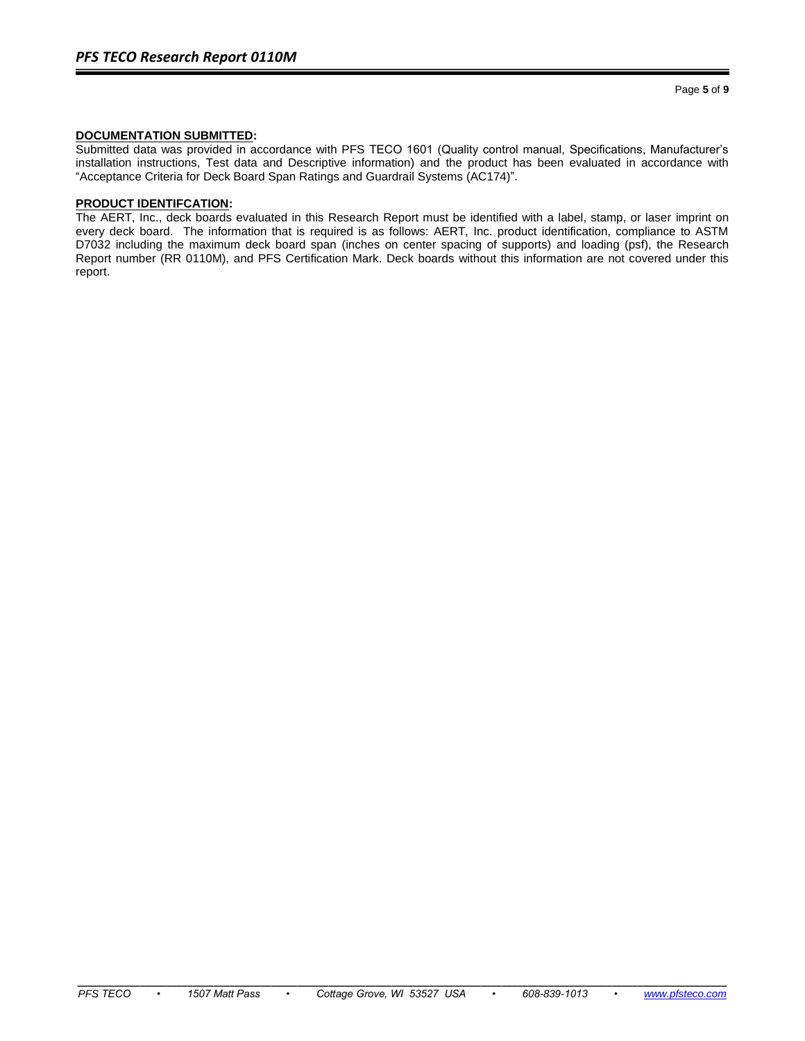## **DOCUMENTATION SUBMITTED:**

Submitted data was provided in accordance with PFS TECO 1601 (Quality control manual, Specifications, Manufacturer's installation instructions, Test data and Descriptive information) and the product has been evaluated in accordance with "Acceptance Criteria for Deck Board Span Ratings and Guardrail Systems (AC174)".

#### **PRODUCT IDENTIFCATION:**

The AERT, Inc., deck boards evaluated in this Research Report must be identified with a label, stamp, or laser imprint on every deck board. The information that is required is as follows: AERT, Inc. product identification, compliance to ASTM D7032 including the maximum deck board span (inches on center spacing of supports) and loading (psf), the Research Report number (RR 0110M), and PFS Certification Mark. Deck boards without this information are not covered under this report.

**\_\_\_\_\_\_\_\_\_\_\_\_\_\_\_\_\_\_\_\_\_\_\_\_\_\_\_\_\_\_\_\_\_\_\_\_\_\_\_\_\_\_\_\_\_\_\_\_\_\_\_\_\_\_\_\_\_\_\_\_\_\_\_\_\_\_\_\_\_\_\_\_\_\_\_\_\_\_\_\_\_\_\_\_\_\_\_\_\_\_\_\_\_\_\_\_\_\_\_\_\_\_\_\_\_\_\_\_\_\_\_\_\_\_\_\_\_\_\_\_\_\_\_\_**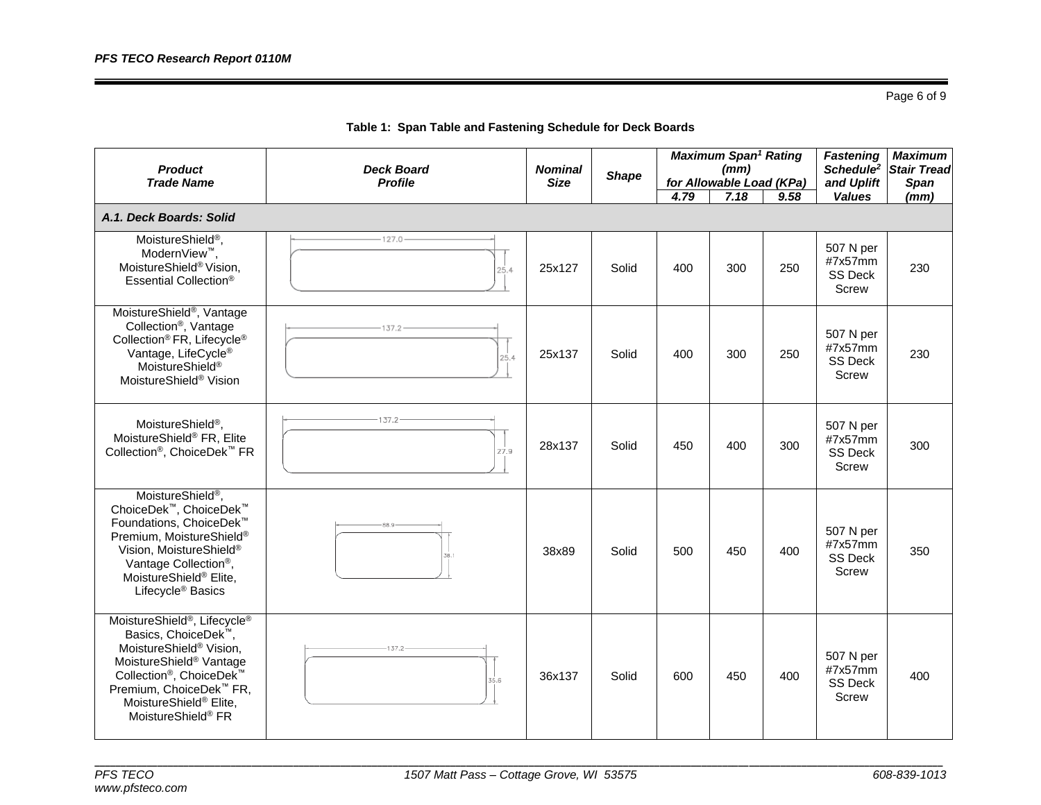Page 6 of 9

| <b>Product</b><br><b>Trade Name</b>                                                                                                                                                                                                                                                                               | <b>Deck Board</b><br><b>Profile</b> | <b>Nominal</b><br><b>Size</b> | <b>Shape</b> | 4.79 | <b>Maximum Span<sup>1</sup> Rating</b><br>(mm)<br>for Allowable Load (KPa)<br>7.18 | 9.58 | <b>Fastening</b><br>Schedule <sup>2</sup><br>and Uplift<br><b>Values</b> | <b>Maximum</b><br><b>Stair Tread</b><br><b>Span</b><br>(mm) |
|-------------------------------------------------------------------------------------------------------------------------------------------------------------------------------------------------------------------------------------------------------------------------------------------------------------------|-------------------------------------|-------------------------------|--------------|------|------------------------------------------------------------------------------------|------|--------------------------------------------------------------------------|-------------------------------------------------------------|
| A.1. Deck Boards: Solid                                                                                                                                                                                                                                                                                           |                                     |                               |              |      |                                                                                    |      |                                                                          |                                                             |
| MoistureShield <sup>®</sup> ,<br>ModernView <sup>™</sup> .<br>MoistureShield® Vision,<br>Essential Collection®                                                                                                                                                                                                    | 127.0<br>25.4                       | 25x127                        | Solid        | 400  | 300                                                                                | 250  | 507 N per<br>#7x57mm<br>SS Deck<br>Screw                                 | 230                                                         |
| MoistureShield <sup>®</sup> , Vantage<br>Collection <sup>®</sup> , Vantage<br>Collection <sup>®</sup> FR, Lifecycle <sup>®</sup><br>Vantage, LifeCycle®<br>MoistureShield <sup>®</sup><br>MoistureShield <sup>®</sup> Vision                                                                                      | 25.4                                | 25x137                        | Solid        | 400  | 300                                                                                | 250  | 507 N per<br>#7x57mm<br><b>SS Deck</b><br>Screw                          | 230                                                         |
| MoistureShield <sup>®</sup> ,<br>MoistureShield® FR, Elite<br>Collection <sup>®</sup> , ChoiceDek <sup>™</sup> FR                                                                                                                                                                                                 | $-137.2$<br>27.9                    | 28x137                        | Solid        | 450  | 400                                                                                | 300  | 507 N per<br>#7x57mm<br>SS Deck<br>Screw                                 | 300                                                         |
| MoistureShield <sup>®</sup> ,<br>ChoiceDek <sup>™</sup> , ChoiceDek <sup>™</sup><br>Foundations, ChoiceDek <sup>™</sup><br>Premium, MoistureShield®<br>Vision, MoistureShield®<br>Vantage Collection <sup>®</sup> ,<br>MoistureShield <sup>®</sup> Elite,<br>Lifecycle <sup>®</sup> Basics                        | 88 Q<br>S8.1                        | 38x89                         | Solid        | 500  | 450                                                                                | 400  | 507 N per<br>#7x57mm<br><b>SS Deck</b><br>Screw                          | 350                                                         |
| MoistureShield <sup>®</sup> , Lifecycle <sup>®</sup><br>Basics, ChoiceDek <sup>™</sup> ,<br>MoistureShield <sup>®</sup> Vision,<br>MoistureShield® Vantage<br>Collection <sup>®</sup> , ChoiceDek <sup>™</sup><br>Premium, ChoiceDek <sup>™</sup> FR,<br>MoistureShield® Elite,<br>MoistureShield <sup>®</sup> FR | 137.2<br>35.6                       | 36x137                        | Solid        | 600  | 450                                                                                | 400  | 507 N per<br>#7x57mm<br>SS Deck<br>Screw                                 | 400                                                         |

**Table 1: Span Table and Fastening Schedule for Deck Boards**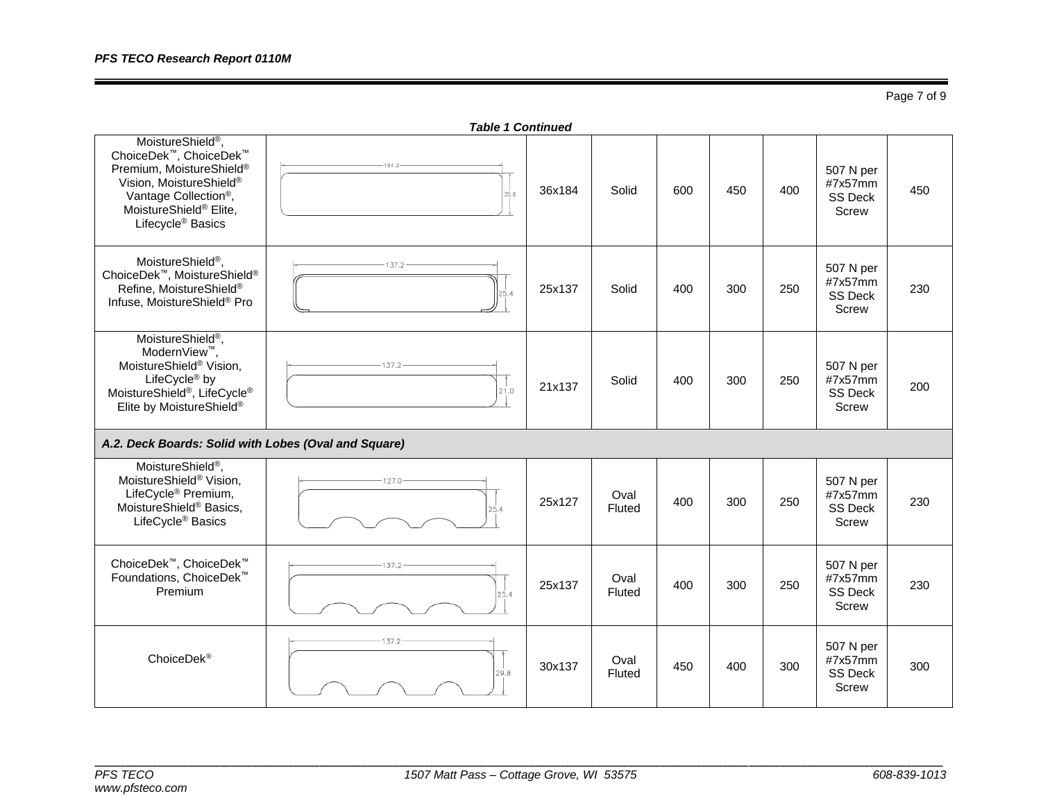Page 7 of 9

| <b>Table 1 Continued</b>                                                                                                                                                                                                   |                  |        |                |     |     |     |                                                 |     |
|----------------------------------------------------------------------------------------------------------------------------------------------------------------------------------------------------------------------------|------------------|--------|----------------|-----|-----|-----|-------------------------------------------------|-----|
| MoistureShield <sup>®</sup> ,<br>ChoiceDek™, ChoiceDek™<br>Premium, MoistureShield®<br>Vision, MoistureShield®<br>Vantage Collection <sup>®</sup> ,<br>MoistureShield <sup>®</sup> Elite,<br>Lifecycle <sup>®</sup> Basics | 184.2<br>35.6    | 36x184 | Solid          | 600 | 450 | 400 | 507 N per<br>#7x57mm<br><b>SS Deck</b><br>Screw | 450 |
| MoistureShield <sup>®</sup> ,<br>ChoiceDek™, MoistureShield®<br>Refine, MoistureShield®<br>Infuse, MoistureShield® Pro                                                                                                     | 137.2<br>25.4    | 25x137 | Solid          | 400 | 300 | 250 | 507 N per<br>#7x57mm<br>SS Deck<br>Screw        | 230 |
| MoistureShield <sup>®</sup> ,<br>ModernView <sup>™</sup> ,<br>MoistureShield® Vision,<br>LifeCycle <sup>®</sup> by<br>MoistureShield <sup>®</sup> , LifeCycle <sup>®</sup><br>Elite by MoistureShield®                     | $-137.2$<br>21.0 | 21x137 | Solid          | 400 | 300 | 250 | 507 N per<br>#7x57mm<br><b>SS Deck</b><br>Screw | 200 |
| A.2. Deck Boards: Solid with Lobes (Oval and Square)                                                                                                                                                                       |                  |        |                |     |     |     |                                                 |     |
| MoistureShield <sup>®</sup> ,<br>MoistureShield <sup>®</sup> Vision,<br>LifeCycle <sup>®</sup> Premium,<br>MoistureShield® Basics,<br>LifeCycle <sup>®</sup> Basics                                                        | 127.0<br>25.4    | 25x127 | Oval<br>Fluted | 400 | 300 | 250 | 507 N per<br>#7x57mm<br><b>SS Deck</b><br>Screw | 230 |
| ChoiceDek <sup>™</sup> , ChoiceDek <sup>™</sup><br>Foundations, ChoiceDek <sup>™</sup><br>Premium                                                                                                                          | 137.2<br>25.4    | 25x137 | Oval<br>Fluted | 400 | 300 | 250 | 507 N per<br>#7x57mm<br><b>SS Deck</b><br>Screw | 230 |
| ChoiceDek <sup>®</sup>                                                                                                                                                                                                     | 137.2<br>29.8    | 30x137 | Oval<br>Fluted | 450 | 400 | 300 | 507 N per<br>#7x57mm<br><b>SS Deck</b><br>Screw | 300 |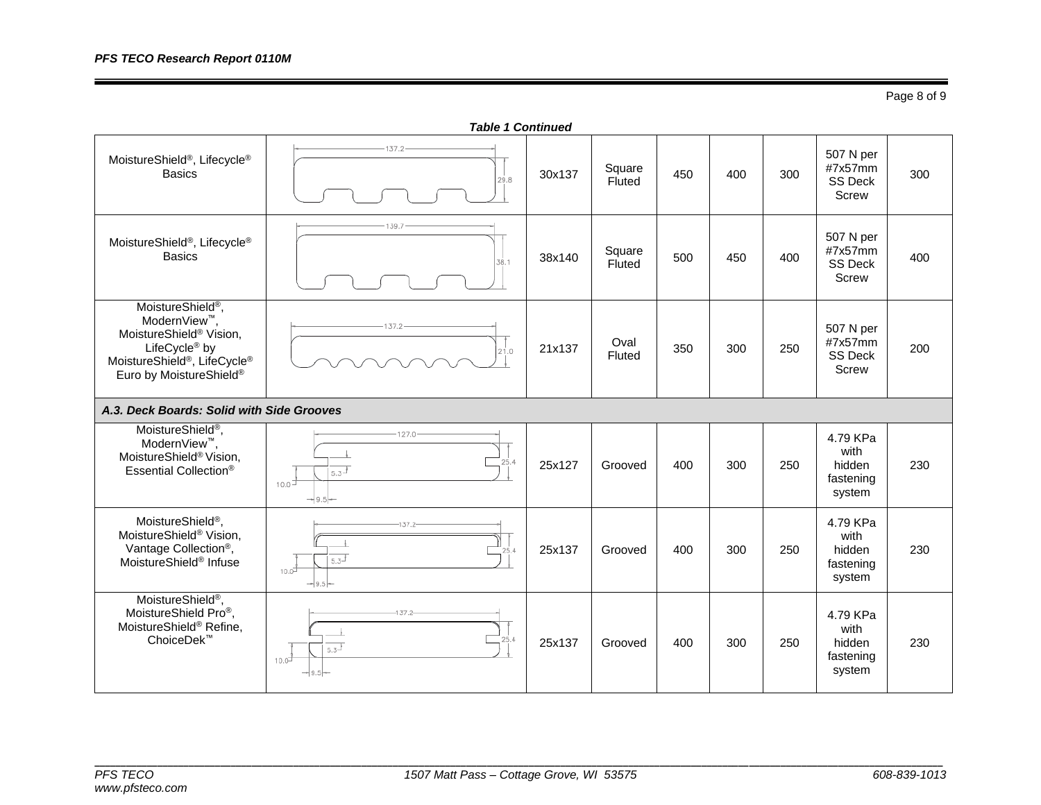*Table 1 Continued*  $137.2 -$ 507 N per MoistureShield®, Lifecycle® Square  $450$  400 300 #7x57mm Basics 30x137 Square 300 SS Deck Screw 39. 507 N per MoistureShield®, Lifecycle® #7x57mm  $\begin{array}{|c|c|c|c|c|}\n \hline \text{Basis} & \text{Square} & \text{Square} \\
\hline \end{array}$ Square  $\begin{array}{|c|c|c|c|}\n\hline\n\text{Fluted} & 500 & 450 & 400\n\end{array}$ 400 SS Deck Screw MoistureShield®, ModernView™, 137.2 507 N per MoistureShield® Vision,  $21x137$  Oval #7x57mm LifeCycle® by  $\frac{C}{250}$  350 300 250 200 21.0 SS Deck MoistureShield ®, LifeCycle® Screw Euro by MoistureShield® *A.3. Deck Boards: Solid with Side Grooves* MoistureShield®,  $-127.0$ 4.79 KPa ModernView™, with MoistureShield® Vision, Essential Collection<sup>®</sup>  $\frac{1}{100}$   $\frac{1}{5.3^{3}}$   $\frac{1}{5.3^{3}}$   $\frac{1}{25 \times 127}$  Grooved 400 300 250 hidden 230 fastening system  $-9.5-$ MoistureShield®, 4.79 KPa 137.0 MoistureShield® Vision, with  $\overline{1}$ Vantage Collection®, 25x137 Grooved 400 300 250 hidden 230  $25.$  $5.3^{\frac{1}{3}}$ MoistureShield® Infuse fastening  $10.0$ system MoistureShield®, MoistureShield Pro®,  $1372$ 4.79 KPa MoistureShield® Refine, with ChoiceDek™ 25x137 Grooved 400 300 250 hidden 230 $5.3$ fastening  $10.0$ system

# **\_\_\_\_\_\_\_\_\_\_\_\_\_\_\_\_\_\_\_\_\_\_\_\_\_\_\_\_\_\_\_\_\_\_\_\_\_\_\_\_\_\_\_\_\_\_\_\_\_\_\_\_\_\_\_\_\_\_\_\_\_\_\_\_\_\_\_\_\_\_\_\_\_\_\_\_\_\_\_\_\_\_\_\_\_\_\_\_\_\_\_\_\_\_\_\_\_\_\_\_\_\_\_\_\_\_\_\_\_\_\_\_\_\_\_\_\_\_\_\_\_\_\_\_\_\_\_\_\_\_\_\_\_\_\_\_\_\_\_\_\_\_\_\_\_\_\_\_\_\_\_\_\_\_\_\_\_\_\_\_\_\_**

*www.pfsteco.com*

Page 8 of 9